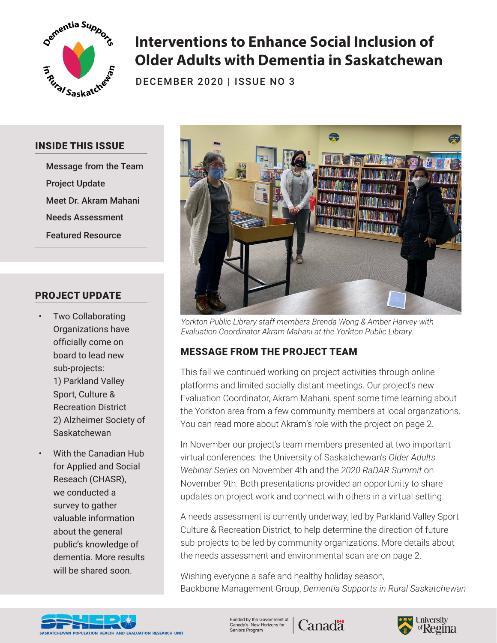

# **Interventions to Enhance Social Inclusion of Older Adults with Dementia in Saskatchewan**

DECEMBER 2020 | ISSUE NO 3

#### INSIDE THIS ISSUE

Message from the Team Project Update Meet Dr. Akram Mahani Needs Assessment Featured Resource

### PROJECT UPDATE

- Two Collaborating Organizations have officially come on board to lead new sub-projects: 1) Parkland Valley Sport, Culture & Recreation District 2) Alzheimer Society of Saskatchewan
- With the Canadian Hub for Applied and Social Reseach (CHASR), we conducted a survey to gather valuable information about the general public's knowledge of dementia. More results will be shared soon.



*Yorkton Public Library staff members Brenda Wong & Amber Harvey with Evaluation Coordinator Akram Mahani at the Yorkton Public Library.*

## MESSAGE FROM THE PROJECT TEAM

This fall we continued working on project activities through online platforms and limited socially distant meetings. Our project's new Evaluation Coordinator, Akram Mahani, spent some time learning about the Yorkton area from a few community members at local organzations. You can read more about Akram's role with the project on page 2.

In November our project's team members presented at two important virtual conferences: the University of Saskatchewan's *Older Adults Webinar Series* on November 4th and the *2020 RaDAR Summit* on November 9th. Both presentations provided an opportunity to share updates on project work and connect with others in a virtual setting.

A needs assessment is currently underway, led by Parkland Valley Sport Culture & Recreation District, to help determine the direction of future sub-projects to be led by community organizations. More details about the needs assessment and environmental scan are on page 2.

Wishing everyone a safe and healthy holiday season, Backbone Management Group, *Dementia Supports in Rural Saskatchewan*

**Canadä** 



Funded by the Government of<br>Canada's New Horizons for Seniors Program